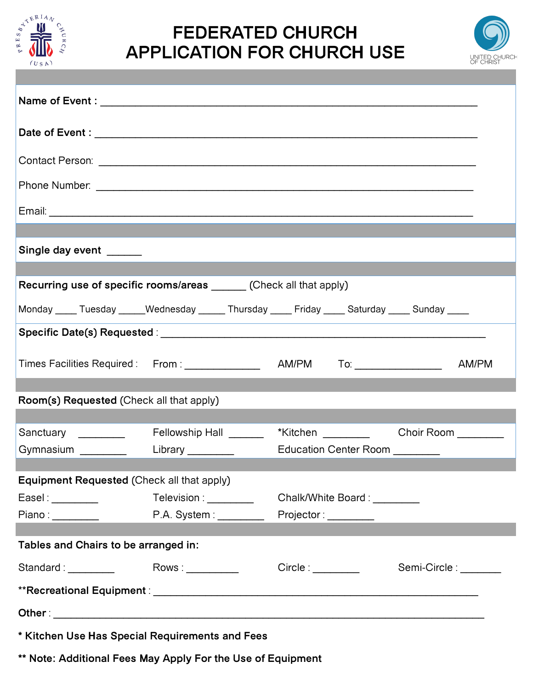

## **FEDERATED CHURCH APPLICATION FOR CHURCH USE**



| Single day event ______                                                                      |                                                                        |  |                      |                               |                       |       |  |  |  |
|----------------------------------------------------------------------------------------------|------------------------------------------------------------------------|--|----------------------|-------------------------------|-----------------------|-------|--|--|--|
| <b>Recurring use of specific rooms/areas</b> ______ (Check all that apply)                   |                                                                        |  |                      |                               |                       |       |  |  |  |
|                                                                                              |                                                                        |  |                      |                               |                       |       |  |  |  |
| Monday ____ Tuesday _____Wednesday _____ Thursday ____ Friday ____ Saturday ____ Sunday ____ |                                                                        |  |                      |                               |                       |       |  |  |  |
|                                                                                              |                                                                        |  |                      |                               |                       |       |  |  |  |
| Times Facilities Required: From: ________________ AM/PM To: ____________________             |                                                                        |  |                      |                               |                       | AM/PM |  |  |  |
|                                                                                              |                                                                        |  |                      |                               |                       |       |  |  |  |
| Room(s) Requested (Check all that apply)                                                     |                                                                        |  |                      |                               |                       |       |  |  |  |
| Sanctuary _________                                                                          | Fellowship Hall __________ *Kitchen _____________ Choir Room _________ |  |                      |                               |                       |       |  |  |  |
| Gymnasium ___________  Library _________                                                     |                                                                        |  |                      |                               |                       |       |  |  |  |
| Equipment Requested (Check all that apply)                                                   |                                                                        |  |                      |                               |                       |       |  |  |  |
| EaseI:                                                                                       | Television : _________                                                 |  |                      | Chalk/White Board: \\square\] |                       |       |  |  |  |
|                                                                                              | P.A. System : ________                                                 |  | Projector: _________ |                               |                       |       |  |  |  |
|                                                                                              |                                                                        |  |                      |                               |                       |       |  |  |  |
| Tables and Chairs to be arranged in:                                                         |                                                                        |  |                      |                               |                       |       |  |  |  |
| Standard: Standard:                                                                          | Rows:                                                                  |  | Circle:              |                               | Semi-Circle : _______ |       |  |  |  |
|                                                                                              |                                                                        |  |                      |                               |                       |       |  |  |  |
|                                                                                              |                                                                        |  |                      |                               |                       |       |  |  |  |
| * Kitchen Use Has Special Requirements and Fees                                              |                                                                        |  |                      |                               |                       |       |  |  |  |

**\*\* Note: Additional Fees May Apply For the Use of Equipment**